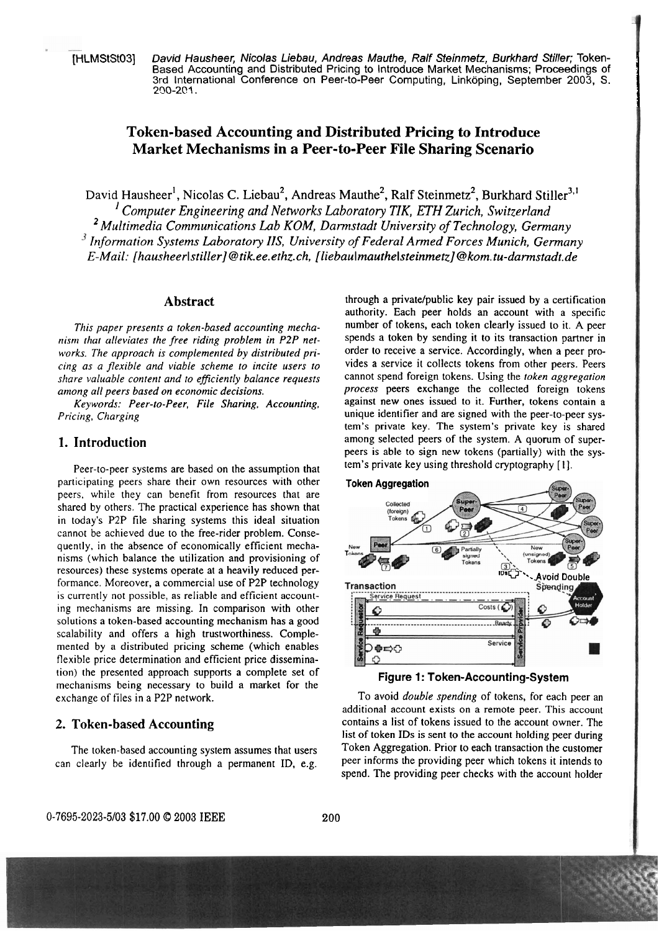[HLMStSt03] David Hausheer, Nicolas Liebau, Andreas Mauthe, Ralf Steinmetz, Burkhard Stiller; Token-Based Accounting and Distributed Pricing to lntroduce Market Mechanisms; Proceedings of 3rd International Conference on Peer-to-Peer Computing, Linköping, September 2003, S. **2'30-201** .

# **Token-based Accounting and Distributed Pricing to Introduce Market Mechanisms in a Peer-to-Peer File Sharing Scenario**

David Hausheer<sup>1</sup>, Nicolas C. Liebau<sup>2</sup>, Andreas Mauthe<sup>2</sup>, Ralf Steinmetz<sup>2</sup>, Burkhard Stiller<sup>3,1</sup> *<sup>I</sup>Computer Engineering and Neiworks Laboratory TIK, ETH Zurich, Switzerland*  <sup>2</sup> Multimedia Communications Lab KOM, Darmstadt University of Technology, Germany <sup>3</sup> Information Systems Laboratory IIS, University of Federal Armed Forces Munich, Germany *E-Mail:* **[hausheerlstiller]@tik.ee.ethz.ch, [liebauImauthelsteinmetz]@kom.tu-darmstadt.de** 

### **Abstract**

*This paper presents a token-based accounting mechanism (hat alleviates the free riding problem in P2P networks. The approach is complemented by distributed pricing as a flexible und viable scheme to incire users to share valuable content und to eflciently balance requests among all peers based on economic decisions.* 

*Keywords: Peer-to-Peer, File Sharing, Accounting, Pricing, Charging* 

### **1. Introduction**

Peer-to-peer systems are based on the assumption that participating peers share their own resources with other peers, while they can benefit from resources that are shared by others. The practical experience has shown that in today's P2P file sharing systems this ideal Situation cannot be achieved due to the free-rider problem. Consequently, in the absence of economically efficient mechanisrns (which balance the utilization and provisioning of resources) these systems operate at a heavily reduced performance. Moreover, a commercial use of P2P technology is currently not possible, as reliable and efficient accounting mechanisrns are missing. In comparison with other solutions a token-based accounting mechanism has a good scalability and offers a high trustworthiness. Complemented by a distributed pricing scheme (which enables flexible price determination and efficient price dissemination) the presented approach Supports a complete Set of mechanisms being necessary to build a market for the exchange of files in a P2P network.

### **2. Token-based Accounting**

The token-based accounting system assumes that users can clearly be identified through a permanent ID, e.g.

through a private/public key pair issued by a certification authority. Each peer holds an account with a specific number of tokens, each token clearly issued to it. A peer spends a token by sending it to its transaction partner in order to receive a service. Accordingly, when a peer provides a service it collects tokens from other peers. Peers cannot spend foreign tokens. Using the *token aggregation process* peers exchange the collected foreign tokens against new ones issued to it. Further, tokens contain a unique identifier and are signed with the peer-to-peer system's private key. The System's private key is shared among selected peers of the system. A quorum of superpeers is able to sign new tokens (partially) with the system's private key using threshold cryptography [I].

I



#### **Figure 1: Token-Accounting-System**

To avoid *double spending* of tokens, for each peer an additional account exists on a remote peer. This account contains a list of tokens issued to the account owner. The list of token IDs is sent to the account holding peer during Token Aggregation. Prior to each transaction the customer peer informs the providing peer which tokens it intends to spend. The providing peer checks with the account holder